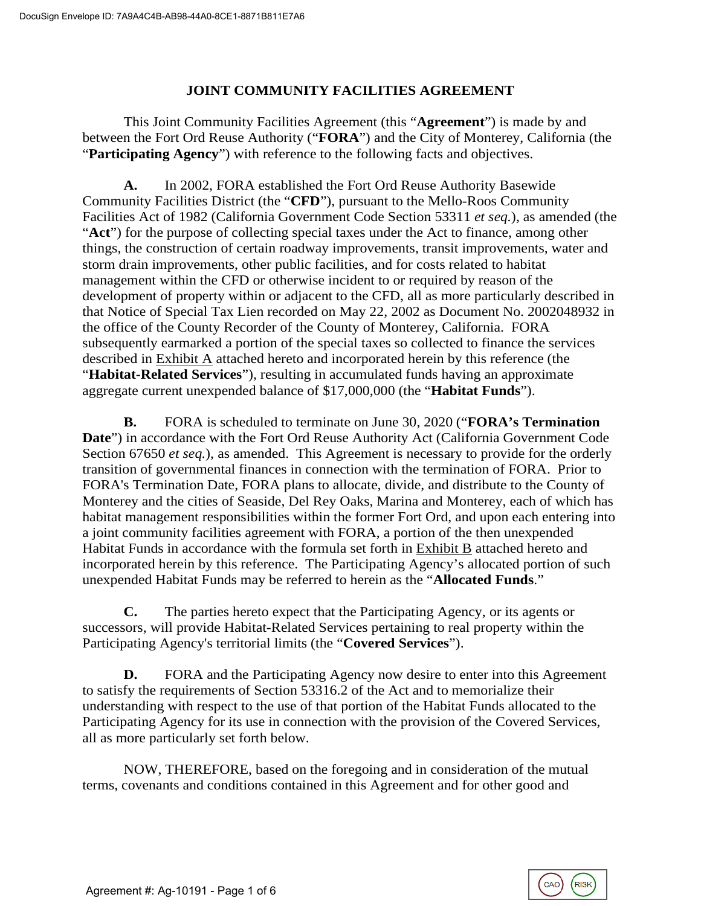## **JOINT COMMUNITY FACILITIES AGREEMENT**

This Joint Community Facilities Agreement (this "**Agreement**") is made by and between the Fort Ord Reuse Authority ("**FORA**") and the City of Monterey, California (the "**Participating Agency**") with reference to the following facts and objectives.

**A.** In 2002, FORA established the Fort Ord Reuse Authority Basewide Community Facilities District (the "**CFD**"), pursuant to the Mello-Roos Community Facilities Act of 1982 (California Government Code Section 53311 *et seq.*), as amended (the "**Act**") for the purpose of collecting special taxes under the Act to finance, among other things, the construction of certain roadway improvements, transit improvements, water and storm drain improvements, other public facilities, and for costs related to habitat management within the CFD or otherwise incident to or required by reason of the development of property within or adjacent to the CFD, all as more particularly described in that Notice of Special Tax Lien recorded on May 22, 2002 as Document No. 2002048932 in the office of the County Recorder of the County of Monterey, California. FORA subsequently earmarked a portion of the special taxes so collected to finance the services described in Exhibit A attached hereto and incorporated herein by this reference (the "**Habitat-Related Services**"), resulting in accumulated funds having an approximate aggregate current unexpended balance of \$17,000,000 (the "**Habitat Funds**").

**B.** FORA is scheduled to terminate on June 30, 2020 ("**FORA's Termination Date**") in accordance with the Fort Ord Reuse Authority Act (California Government Code Section 67650 *et seq.*), as amended. This Agreement is necessary to provide for the orderly transition of governmental finances in connection with the termination of FORA. Prior to FORA's Termination Date, FORA plans to allocate, divide, and distribute to the County of Monterey and the cities of Seaside, Del Rey Oaks, Marina and Monterey, each of which has habitat management responsibilities within the former Fort Ord, and upon each entering into a joint community facilities agreement with FORA, a portion of the then unexpended Habitat Funds in accordance with the formula set forth in Exhibit B attached hereto and incorporated herein by this reference. The Participating Agency's allocated portion of such unexpended Habitat Funds may be referred to herein as the "**Allocated Funds**."

**C.** The parties hereto expect that the Participating Agency, or its agents or successors, will provide Habitat-Related Services pertaining to real property within the Participating Agency's territorial limits (the "**Covered Services**").

**D.** FORA and the Participating Agency now desire to enter into this Agreement to satisfy the requirements of Section 53316.2 of the Act and to memorialize their understanding with respect to the use of that portion of the Habitat Funds allocated to the Participating Agency for its use in connection with the provision of the Covered Services, all as more particularly set forth below.

NOW, THEREFORE, based on the foregoing and in consideration of the mutual terms, covenants and conditions contained in this Agreement and for other good and

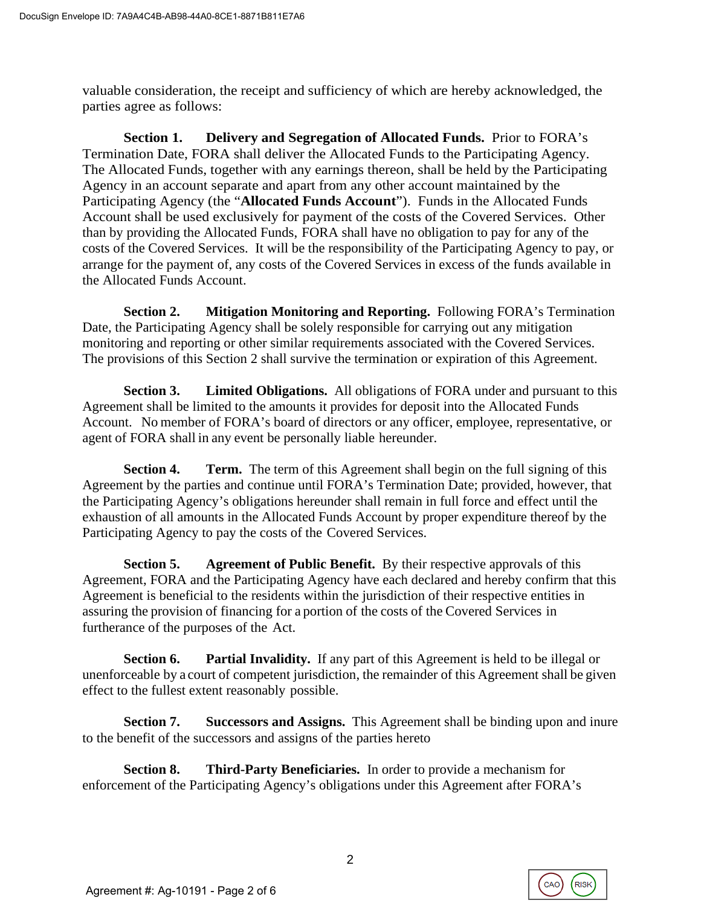valuable consideration, the receipt and sufficiency of which are hereby acknowledged, the parties agree as follows:

**Section 1. Delivery and Segregation of Allocated Funds.** Prior to FORA's Termination Date, FORA shall deliver the Allocated Funds to the Participating Agency. The Allocated Funds, together with any earnings thereon, shall be held by the Participating Agency in an account separate and apart from any other account maintained by the Participating Agency (the "**Allocated Funds Account**"). Funds in the Allocated Funds Account shall be used exclusively for payment of the costs of the Covered Services. Other than by providing the Allocated Funds, FORA shall have no obligation to pay for any of the costs of the Covered Services. It will be the responsibility of the Participating Agency to pay, or arrange for the payment of, any costs of the Covered Services in excess of the funds available in the Allocated Funds Account.

**Section 2. Mitigation Monitoring and Reporting.** Following FORA's Termination Date, the Participating Agency shall be solely responsible for carrying out any mitigation monitoring and reporting or other similar requirements associated with the Covered Services. The provisions of this Section 2 shall survive the termination or expiration of this Agreement.

**Section 3. Limited Obligations.** All obligations of FORA under and pursuant to this Agreement shall be limited to the amounts it provides for deposit into the Allocated Funds Account. No member of FORA's board of directors or any officer, employee, representative, or agent of FORA shall in any event be personally liable hereunder.

**Section 4. Term.** The term of this Agreement shall begin on the full signing of this Agreement by the parties and continue until FORA's Termination Date; provided, however, that the Participating Agency's obligations hereunder shall remain in full force and effect until the exhaustion of all amounts in the Allocated Funds Account by proper expenditure thereof by the Participating Agency to pay the costs of the Covered Services.

**Section 5. Agreement of Public Benefit.** By their respective approvals of this Agreement, FORA and the Participating Agency have each declared and hereby confirm that this Agreement is beneficial to the residents within the jurisdiction of their respective entities in assuring the provision of financing for a portion of the costs of the Covered Services in furtherance of the purposes of the Act.

**Section 6. Partial Invalidity.** If any part of this Agreement is held to be illegal or unenforceable by a court of competent jurisdiction, the remainder of this Agreement shall be given effect to the fullest extent reasonably possible.

**Section 7. Successors and Assigns.** This Agreement shall be binding upon and inure to the benefit of the successors and assigns of the parties hereto

**Section 8. Third-Party Beneficiaries.** In order to provide a mechanism for enforcement of the Participating Agency's obligations under this Agreement after FORA's

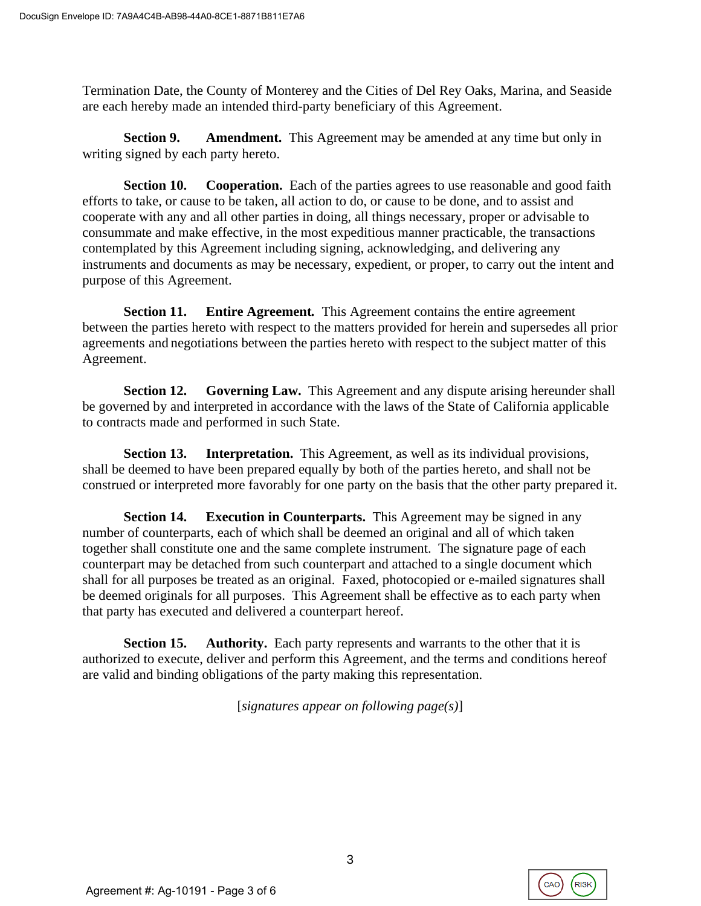Termination Date, the County of Monterey and the Cities of Del Rey Oaks, Marina, and Seaside are each hereby made an intended third-party beneficiary of this Agreement.

**Section 9. Amendment.** This Agreement may be amended at any time but only in writing signed by each party hereto.

**Section 10.** Cooperation. Each of the parties agrees to use reasonable and good faith efforts to take, or cause to be taken, all action to do, or cause to be done, and to assist and cooperate with any and all other parties in doing, all things necessary, proper or advisable to consummate and make effective, in the most expeditious manner practicable, the transactions contemplated by this Agreement including signing, acknowledging, and delivering any instruments and documents as may be necessary, expedient, or proper, to carry out the intent and purpose of this Agreement.

**Section 11. Entire Agreement***.* This Agreement contains the entire agreement between the parties hereto with respect to the matters provided for herein and supersedes all prior agreements and negotiations between the parties hereto with respect to the subject matter of this Agreement.

**Section 12. Governing Law.** This Agreement and any dispute arising hereunder shall be governed by and interpreted in accordance with the laws of the State of California applicable to contracts made and performed in such State.

**Section 13. Interpretation.** This Agreement, as well as its individual provisions, shall be deemed to have been prepared equally by both of the parties hereto, and shall not be construed or interpreted more favorably for one party on the basis that the other party prepared it.

**Section 14. Execution in Counterparts.** This Agreement may be signed in any number of counterparts, each of which shall be deemed an original and all of which taken together shall constitute one and the same complete instrument. The signature page of each counterpart may be detached from such counterpart and attached to a single document which shall for all purposes be treated as an original. Faxed, photocopied or e-mailed signatures shall be deemed originals for all purposes. This Agreement shall be effective as to each party when that party has executed and delivered a counterpart hereof.

**Section 15. Authority.** Each party represents and warrants to the other that it is authorized to execute, deliver and perform this Agreement, and the terms and conditions hereof are valid and binding obligations of the party making this representation.

[*signatures appear on following page(s)*]

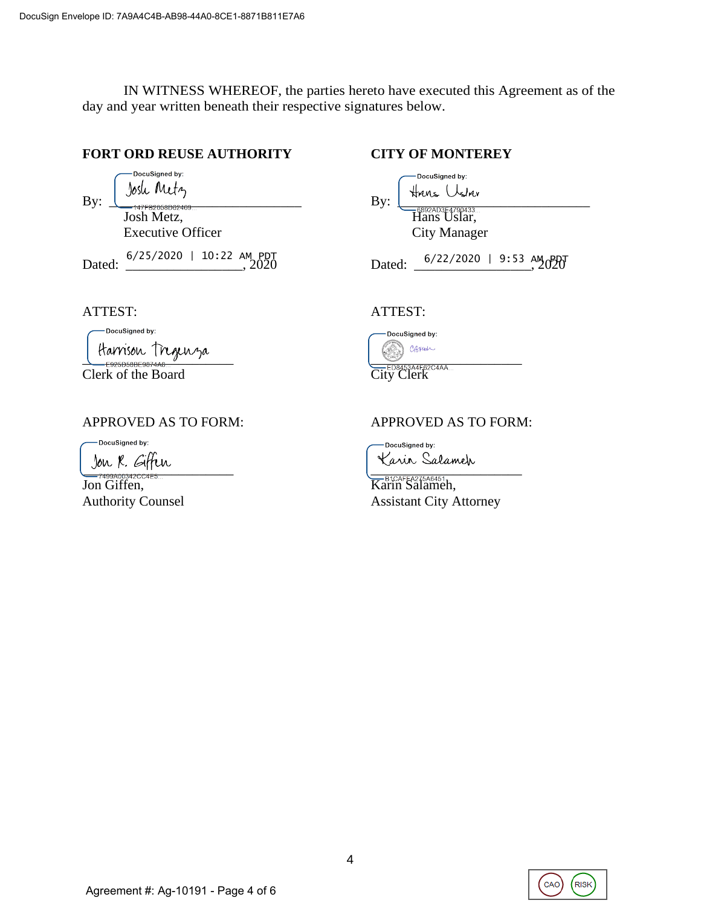IN WITNESS WHEREOF, the parties hereto have executed this Agreement as of the day and year written beneath their respective signatures below.

## **FORT ORD REUSE AUTHORITY CITY OF MONTEREY**

Dated:  $\frac{6/25/2020 + 10:22 \text{ AM } PDT}{2020}$  Dated:  $\frac{6/22/2020 + 9:53 \text{ AM } 0.201}{2020}$ 

| Bv: | DocuSigned by:<br>Metz<br>10sli | DocuSigned by:<br><b>HAUS Uslav</b><br>$\mathbf{B} \mathbf{v}$ : |
|-----|---------------------------------|------------------------------------------------------------------|
|     | 147FB2058D62469<br>Josh Metz,   | 6892AD3E4790433<br>Hans Uslar,                                   |
|     | <b>Executive Officer</b>        | City Manager                                                     |

Dated:  $6/22/2020$  | 9:53 AM PM

### ATTEST: ATTEST:

-DocuSigned by: Harrison Tregenza<br>
CON CRANA CONSEGRATES<br>
EDBAGSAAFS2CAA

Clerk of the Board

DocuSigned by:

 $-$ <del>1000</del> |  $\sqrt{2}$  |  $\sqrt{2}$  |  $\sqrt{2}$  |  $\sqrt{2}$  |  $\sqrt{2}$  |  $\sqrt{2}$  |  $\sqrt{2}$  |  $\sqrt{2}$  |  $\sqrt{2}$  |  $\sqrt{2}$  |  $\sqrt{2}$  |  $\sqrt{2}$  |  $\sqrt{2}$  |  $\sqrt{2}$  |  $\sqrt{2}$  |  $\sqrt{2}$  |  $\sqrt{2}$  |  $\sqrt{2}$  |  $\sqrt{2}$  |  $\sqrt{2}$  |  $\sqrt{2}$  |

Jon Giffen, Karin Salameh,



## APPROVED AS TO FORM: APPROVED AS TO FORM:

-DocuSigned by:

Authority Counsel **Authority** Counsel **Assistant City Attorney** 

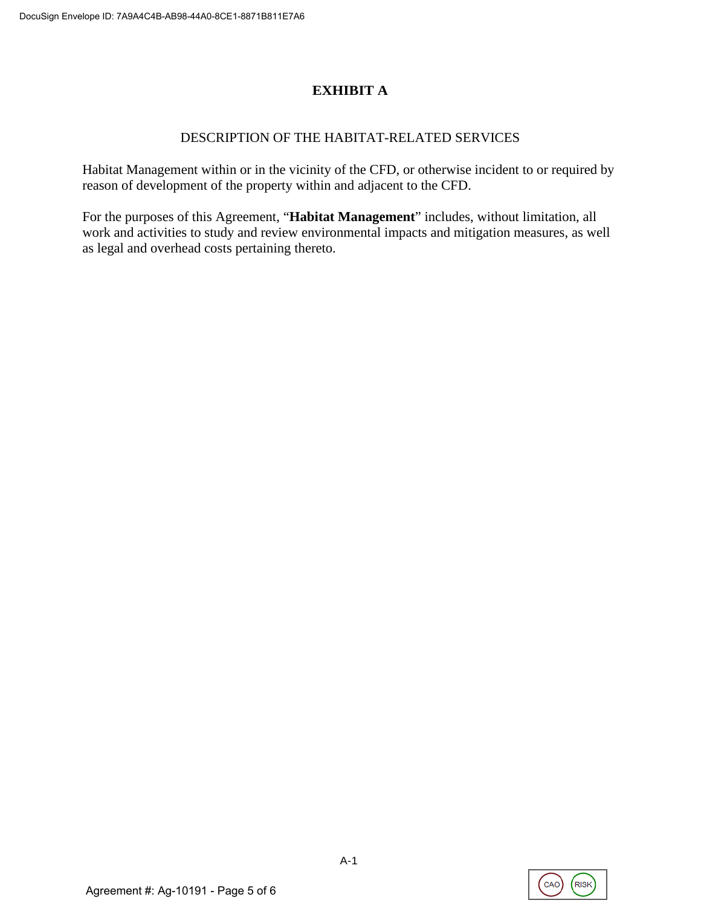# **EXHIBIT A**

## DESCRIPTION OF THE HABITAT-RELATED SERVICES

Habitat Management within or in the vicinity of the CFD, or otherwise incident to or required by reason of development of the property within and adjacent to the CFD.

For the purposes of this Agreement, "**Habitat Management**" includes, without limitation, all work and activities to study and review environmental impacts and mitigation measures, as well as legal and overhead costs pertaining thereto.